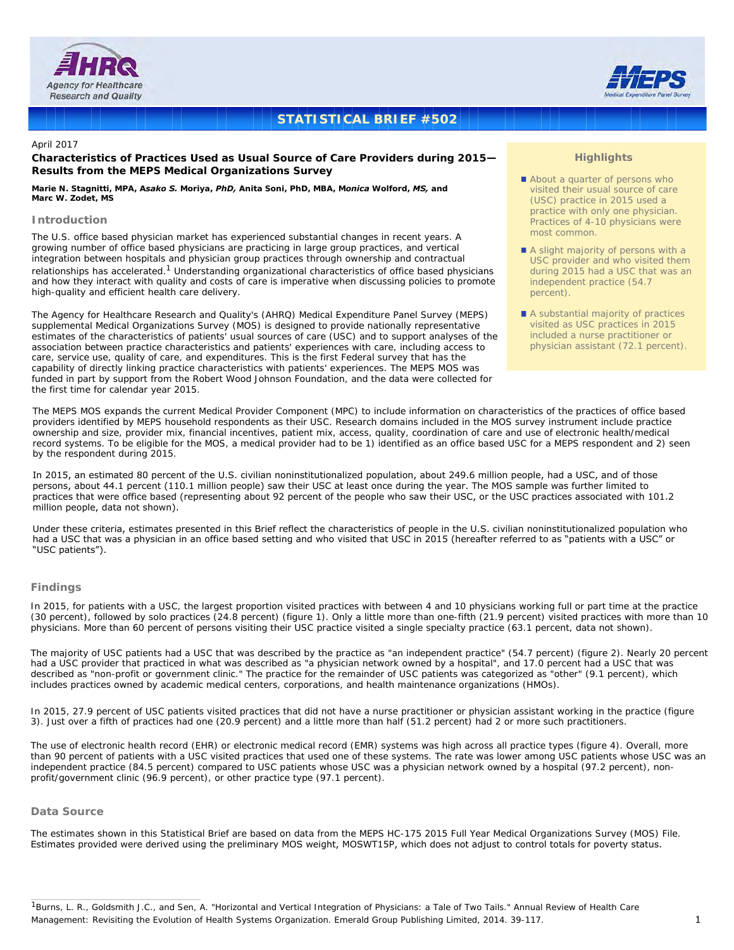



# **STATISTICAL BRIEF #502**

## April 2017

# **Characteristics of Practices Used as Usual Source of Care Providers during 2015— Results from the MEPS Medical Organizations Survey**

*Marie N. Stagnitti, MPA, Asako S. Moriya, PhD, Anita Soni, PhD, MBA, Monica Wolford, MS, and Marc W. Zodet, MS*

# **Introduction**

The U.S. office based physician market has experienced substantial changes in recent years. A growing number of office based physicians are practicing in large group practices, and vertical integration between hospitals and physician group practices through ownership and contractual relationships has accelerated.<sup>1</sup> Understanding organizational characteristics of office based physicians and how they interact with quality and costs of care is imperative when discussing policies to promote high-quality and efficient health care delivery.

The Agency for Healthcare Research and Quality's (AHRQ) Medical Expenditure Panel Survey (MEPS) supplemental Medical Organizations Survey (MOS) is designed to provide nationally representative estimates of the characteristics of patients' usual sources of care (USC) and to support analyses of the association between practice characteristics and patients' experiences with care, including access to care, service use, quality of care, and expenditures. This is the first Federal survey that has the capability of directly linking practice characteristics with patients' experiences. The MEPS MOS was funded in part by support from the Robert Wood Johnson Foundation, and the data were collected for the first time for calendar year 2015.

# **Highlights**

- About a quarter of persons who visited their usual source of care (USC) practice in 2015 used a practice with only one physician. Practices of 4-10 physicians were most common.
- A slight majority of persons with a USC provider and who visited them during 2015 had a USC that was an independent practice (54.7 percent).
- A substantial majority of practices visited as USC practices in 2015 included a nurse practitioner or physician assistant (72.1 percent).

The MEPS MOS expands the current Medical Provider Component (MPC) to include information on characteristics of the practices of office based providers identified by MEPS household respondents as their USC. Research domains included in the MOS survey instrument include practice ownership and size, provider mix, financial incentives, patient mix, access, quality, coordination of care and use of electronic health/medical record systems. To be eligible for the MOS, a medical provider had to be 1) identified as an office based USC for a MEPS respondent and 2) seen by the respondent during 2015.

In 2015, an estimated 80 percent of the U.S. civilian noninstitutionalized population, about 249.6 million people, had a USC, and of those persons, about 44.1 percent (110.1 million people) saw their USC at least once during the year. The MOS sample was further limited to practices that were office based (representing about 92 percent of the people who saw their USC, or the USC practices associated with 101.2 million people, data not shown).

Under these criteria, estimates presented in this Brief reflect the characteristics of people in the U.S. civilian noninstitutionalized population who had a USC that was a physician in an office based setting and who visited that USC in 2015 (hereafter referred to as "patients with a USC" or "USC patients").

# **Findings**

In 2015, for patients with a USC, the largest proportion visited practices with between 4 and 10 physicians working full or part time at the practice (30 percent), followed by solo practices (24.8 percent) (figure 1). Only a little more than one-fifth (21.9 percent) visited practices with more than 10 physicians. More than 60 percent of persons visiting their USC practice visited a single specialty practice (63.1 percent, data not shown).

The majority of USC patients had a USC that was described by the practice as "an independent practice" (54.7 percent) (figure 2). Nearly 20 percent had a USC provider that practiced in what was described as "a physician network owned by a hospital", and 17.0 percent had a USC that was described as "non-profit or government clinic." The practice for the remainder of USC patients was categorized as "other" (9.1 percent), which includes practices owned by academic medical centers, corporations, and health maintenance organizations (HMOs).

In 2015, 27.9 percent of USC patients visited practices that did not have a nurse practitioner or physician assistant working in the practice (figure 3). Just over a fifth of practices had one (20.9 percent) and a little more than half (51.2 percent) had 2 or more such practitioners.

The use of electronic health record (EHR) or electronic medical record (EMR) systems was high across all practice types (figure 4). Overall, more than 90 percent of patients with a USC visited practices that used one of these systems. The rate was lower among USC patients whose USC was an independent practice (84.5 percent) compared to USC patients whose USC was a physician network owned by a hospital (97.2 percent), nonprofit/government clinic (96.9 percent), or other practice type (97.1 percent).

## **Data Source**

The estimates shown in this Statistical Brief are based on data from the MEPS HC-175 2015 Full Year Medical Organizations Survey (MOS) File. Estimates provided were derived using the preliminary MOS weight, MOSWT15P, which does not adjust to control totals for poverty status.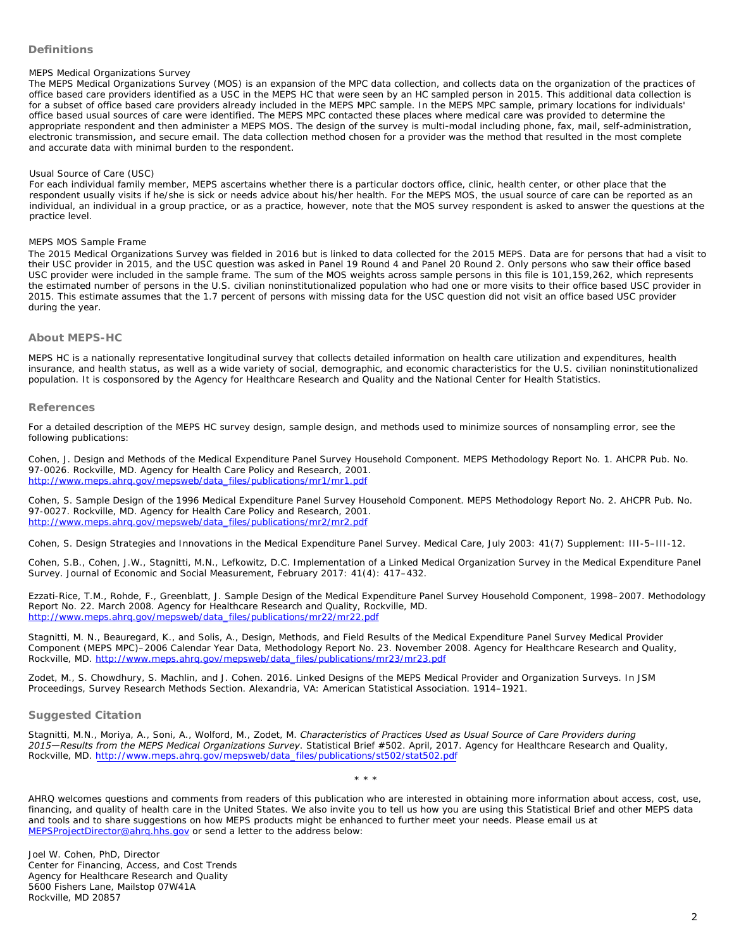# **Definitions**

### *MEPS Medical Organizations Survey*

The MEPS Medical Organizations Survey (MOS) is an expansion of the MPC data collection, and collects data on the organization of the practices of office based care providers identified as a USC in the MEPS HC that were seen by an HC sampled person in 2015. This additional data collection is for a subset of office based care providers already included in the MEPS MPC sample. In the MEPS MPC sample, primary locations for individuals' office based usual sources of care were identified. The MEPS MPC contacted these places where medical care was provided to determine the appropriate respondent and then administer a MEPS MOS. The design of the survey is multi-modal including phone, fax, mail, self-administration, electronic transmission, and secure email. The data collection method chosen for a provider was the method that resulted in the most complete and accurate data with minimal burden to the respondent.

#### *Usual Source of Care (USC)*

For each individual family member, MEPS ascertains whether there is a particular doctors office, clinic, health center, or other place that the respondent usually visits if he/she is sick or needs advice about his/her health. For the MEPS MOS, the usual source of care can be reported as an individual, an individual in a group practice, or as a practice, however, note that the MOS survey respondent is asked to answer the questions at the practice level.

#### *[MEPS MOS Sample Frame](http://www.meps.ahrq.gov/mepsweb/data_files/publications/mr1/mr1.pdf)*

The 2015 Medical Organizations Survey was fielded in 2016 but is linked to data collected for the 2015 MEPS. Data are for persons that had a visit to their USC provider in 2015, and the USC question was asked in Panel 19 Round 4 and Panel 20 Round 2. Only persons who saw their office based USC provider were included in the sample frame. The sum of the MOS weights across sample persons in this file is 101,159,262, which represents [the estimated number of persons in the U.S. civilian noninstitutionalized po](http://www.meps.ahrq.gov/mepsweb/data_files/publications/mr2/mr2.pdf)pulation who had one or more visits to their office based USC provider in 2015. This estimate assumes that the 1.7 percent of persons with missing data for the USC question did not visit an office based USC provider during the year.

## **About MEPS-HC**

MEPS HC is a nationally representative longitudinal survey that collects detailed information on health care utilization and expenditures, health insurance, and health status, as well as a wide variety of social, demographic, and economic characteristics for the U.S. civilian noninstitutionalized [population. It is cosponsored by the Agency for Healthcare Research and Qua](http://www.meps.ahrq.gov/mepsweb/data_files/publications/mr22/mr22.pdf)lity and the National Center for Health Statistics.

#### **References**

For a detailed [description of the MEPS HC survey design, sample design, and methods used](http://www.meps.ahrq.gov/mepsweb/data_files/publications/mr23/mr23.pdf) to minimize sources of nonsampling error, see the following publications:

Cohen, J. *Design and Methods of the Medical Expenditure Panel Survey Household Component*. MEPS Methodology Report No. 1. AHCPR Pub. No. 97-0026. Rockville, MD. Agency for Health Care Policy and Research, 2001. http://www.meps.ahrq.gov/mepsweb/data\_files/publications/mr1/mr1.pdf

Cohen, S. *Sample Design of the 1996 Medical Expenditure Panel Survey Household Component*. MEPS Methodology Report No. 2. AHCPR Pub. No. 97-0027. Rockville, MD. Agency for Health Care Policy and Research, 2001. http://www.m[eps.ahrq.gov/mepsweb/data\\_files/publications/mr2/mr2.pdf](http://www.meps.ahrq.gov/mepsweb/data_files/publications/st502/stat502.pdf)

Cohen, S. Design Strategies and Innovations in the Medical Expenditure Panel Survey. *Medical Care*, July 2003: 41(7) Supplement: III-5–III-12.

Cohen, S.B., Cohen, J.W., Stagnitti, M.N., Lefkowitz, D.C. *Implementation of a Linked Medical Organization Survey in the Medical Expenditure Panel Survey*. Journal of Economic and Social Measurement, February 2017: 41(4): 417–432.

[Ezzati-Rice, T.M., Rohde, F., Greenb](mailto:MEPSProjectDirector@ahrq.hhs.gov)latt, J. *Sample Design of the Medical Expenditure Panel Survey Household Component, 1998–2007*. Methodology Report No. 22. March 2008. Agency for Healthcare Research and Quality, Rockville, MD. http://www.meps.ahrq.gov/mepsweb/data\_files/publications/mr22/mr22.pdf

Stagnitti, M. N., Beauregard, K., and Solis, A., *Design, Methods, and Field Results of the Medical Expenditure Panel Survey Medical Provider Component (MEPS MPC)–2006 Calendar Year Data*, Methodology Report No. 23. November 2008. Agency for Healthcare Research and Quality, Rockville, MD. http://www.meps.ahrq.gov/mepsweb/data\_files/publications/mr23/mr23.pdf

Zodet, M., S. Chowdhury, S. Machlin, and J. Cohen. 2016. *Linked Designs of the MEPS Medical Provider and Organization Surveys*. In JSM Proceedings, Survey Research Methods Section. Alexandria, VA: American Statistical Association. 1914–1921.

### **Suggested Citation**

Stagnitti, M.N., Moriya, A., Soni, A., Wolford, M., Zodet, M. *Characteristics of Practices Used as Usual Source of Care Providers during 2015—Results from the MEPS Medical Organizations Survey*. Statistical Brief #502. April, 2017. Agency for Healthcare Research and Quality, Rockville, MD. http://www.meps.ahrq.gov/mepsweb/data\_files/publications/st502/stat502.pdf

AHRQ welcomes questions and comments from readers of this publication who are interested in obtaining more information about access, cost, use, financing, and quality of health care in the United States. We also invite you to tell us how you are using this Statistical Brief and other MEPS data and tools and to share suggestions on how MEPS products might be enhanced to further meet your needs. Please email us at MEPSProjectDirector@ahrq.hhs.gov or send a letter to the address below:

\* \* \*

Joel W. Cohen, PhD, Director Center for Financing, Access, and Cost Trends Agency for Healthcare Research and Quality 5600 Fishers Lane, Mailstop 07W41A Rockville, MD 20857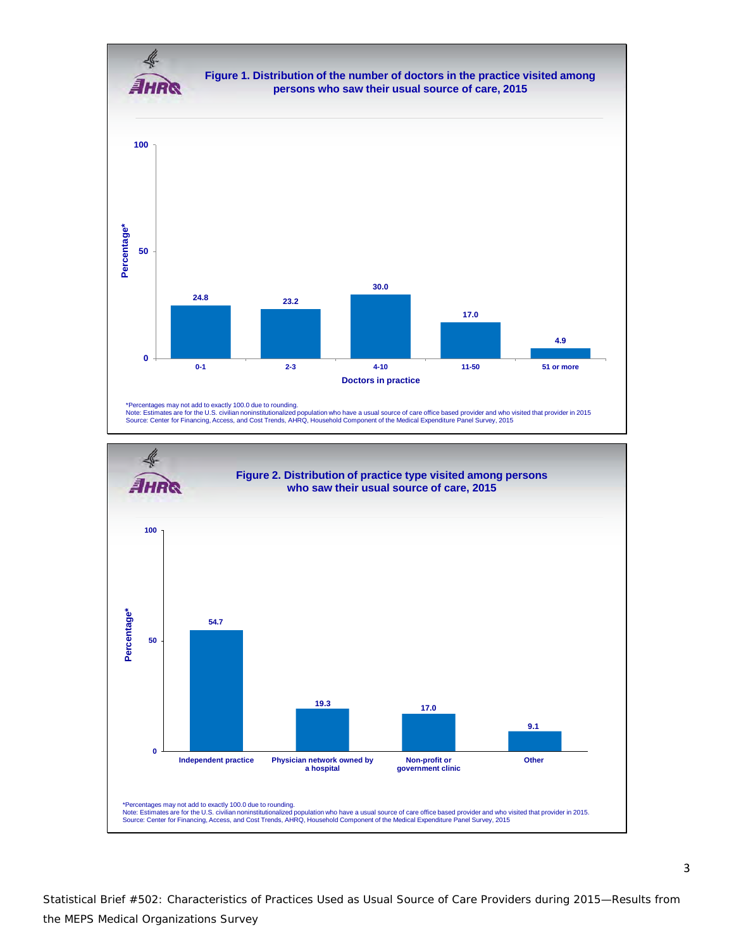

Statistical Brief #502: Characteristics of Practices Used as Usual Source of Care Providers during 2015—Results from the MEPS Medical Organizations Survey